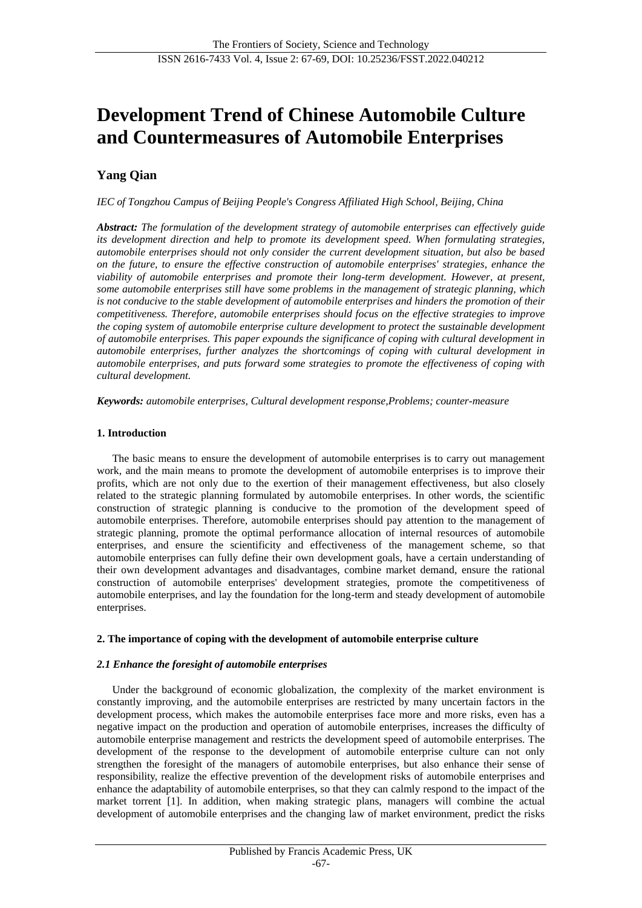# **Development Trend of Chinese Automobile Culture and Countermeasures of Automobile Enterprises**

# **Yang Qian**

*IEC of Tongzhou Campus of Beijing People's Congress Affiliated High School, Beijing, China*

*Abstract: The formulation of the development strategy of automobile enterprises can effectively guide its development direction and help to promote its development speed. When formulating strategies, automobile enterprises should not only consider the current development situation, but also be based on the future, to ensure the effective construction of automobile enterprises' strategies, enhance the viability of automobile enterprises and promote their long-term development. However, at present, some automobile enterprises still have some problems in the management of strategic planning, which is not conducive to the stable development of automobile enterprises and hinders the promotion of their competitiveness. Therefore, automobile enterprises should focus on the effective strategies to improve the coping system of automobile enterprise culture development to protect the sustainable development of automobile enterprises. This paper expounds the significance of coping with cultural development in automobile enterprises, further analyzes the shortcomings of coping with cultural development in automobile enterprises, and puts forward some strategies to promote the effectiveness of coping with cultural development.*

*Keywords: automobile enterprises, Cultural development response,Problems; counter-measure*

# **1. Introduction**

The basic means to ensure the development of automobile enterprises is to carry out management work, and the main means to promote the development of automobile enterprises is to improve their profits, which are not only due to the exertion of their management effectiveness, but also closely related to the strategic planning formulated by automobile enterprises. In other words, the scientific construction of strategic planning is conducive to the promotion of the development speed of automobile enterprises. Therefore, automobile enterprises should pay attention to the management of strategic planning, promote the optimal performance allocation of internal resources of automobile enterprises, and ensure the scientificity and effectiveness of the management scheme, so that automobile enterprises can fully define their own development goals, have a certain understanding of their own development advantages and disadvantages, combine market demand, ensure the rational construction of automobile enterprises' development strategies, promote the competitiveness of automobile enterprises, and lay the foundation for the long-term and steady development of automobile enterprises.

# **2. The importance of coping with the development of automobile enterprise culture**

# *2.1 Enhance the foresight of automobile enterprises*

Under the background of economic globalization, the complexity of the market environment is constantly improving, and the automobile enterprises are restricted by many uncertain factors in the development process, which makes the automobile enterprises face more and more risks, even has a negative impact on the production and operation of automobile enterprises, increases the difficulty of automobile enterprise management and restricts the development speed of automobile enterprises. The development of the response to the development of automobile enterprise culture can not only strengthen the foresight of the managers of automobile enterprises, but also enhance their sense of responsibility, realize the effective prevention of the development risks of automobile enterprises and enhance the adaptability of automobile enterprises, so that they can calmly respond to the impact of the market torrent [1]. In addition, when making strategic plans, managers will combine the actual development of automobile enterprises and the changing law of market environment, predict the risks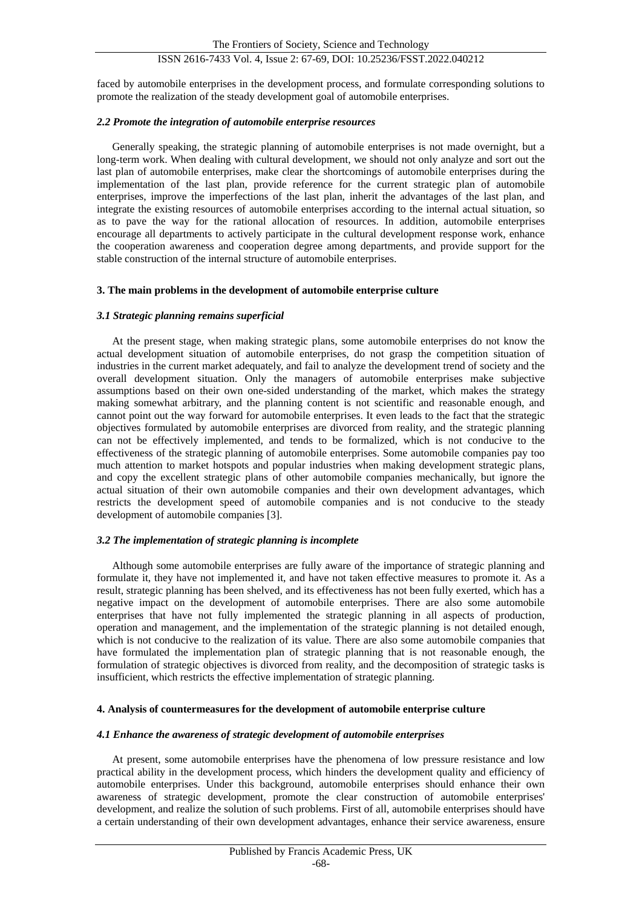# ISSN 2616-7433 Vol. 4, Issue 2: 67-69, DOI: 10.25236/FSST.2022.040212

faced by automobile enterprises in the development process, and formulate corresponding solutions to promote the realization of the steady development goal of automobile enterprises.

#### *2.2 Promote the integration of automobile enterprise resources*

Generally speaking, the strategic planning of automobile enterprises is not made overnight, but a long-term work. When dealing with cultural development, we should not only analyze and sort out the last plan of automobile enterprises, make clear the shortcomings of automobile enterprises during the implementation of the last plan, provide reference for the current strategic plan of automobile enterprises, improve the imperfections of the last plan, inherit the advantages of the last plan, and integrate the existing resources of automobile enterprises according to the internal actual situation, so as to pave the way for the rational allocation of resources. In addition, automobile enterprises encourage all departments to actively participate in the cultural development response work, enhance the cooperation awareness and cooperation degree among departments, and provide support for the stable construction of the internal structure of automobile enterprises.

#### **3. The main problems in the development of automobile enterprise culture**

#### *3.1 Strategic planning remains superficial*

At the present stage, when making strategic plans, some automobile enterprises do not know the actual development situation of automobile enterprises, do not grasp the competition situation of industries in the current market adequately, and fail to analyze the development trend of society and the overall development situation. Only the managers of automobile enterprises make subjective assumptions based on their own one-sided understanding of the market, which makes the strategy making somewhat arbitrary, and the planning content is not scientific and reasonable enough, and cannot point out the way forward for automobile enterprises. It even leads to the fact that the strategic objectives formulated by automobile enterprises are divorced from reality, and the strategic planning can not be effectively implemented, and tends to be formalized, which is not conducive to the effectiveness of the strategic planning of automobile enterprises. Some automobile companies pay too much attention to market hotspots and popular industries when making development strategic plans, and copy the excellent strategic plans of other automobile companies mechanically, but ignore the actual situation of their own automobile companies and their own development advantages, which restricts the development speed of automobile companies and is not conducive to the steady development of automobile companies [3].

# *3.2 The implementation of strategic planning is incomplete*

Although some automobile enterprises are fully aware of the importance of strategic planning and formulate it, they have not implemented it, and have not taken effective measures to promote it. As a result, strategic planning has been shelved, and its effectiveness has not been fully exerted, which has a negative impact on the development of automobile enterprises. There are also some automobile enterprises that have not fully implemented the strategic planning in all aspects of production, operation and management, and the implementation of the strategic planning is not detailed enough, which is not conducive to the realization of its value. There are also some automobile companies that have formulated the implementation plan of strategic planning that is not reasonable enough, the formulation of strategic objectives is divorced from reality, and the decomposition of strategic tasks is insufficient, which restricts the effective implementation of strategic planning.

# **4. Analysis of countermeasures for the development of automobile enterprise culture**

# *4.1 Enhance the awareness of strategic development of automobile enterprises*

At present, some automobile enterprises have the phenomena of low pressure resistance and low practical ability in the development process, which hinders the development quality and efficiency of automobile enterprises. Under this background, automobile enterprises should enhance their own awareness of strategic development, promote the clear construction of automobile enterprises' development, and realize the solution of such problems. First of all, automobile enterprises should have a certain understanding of their own development advantages, enhance their service awareness, ensure